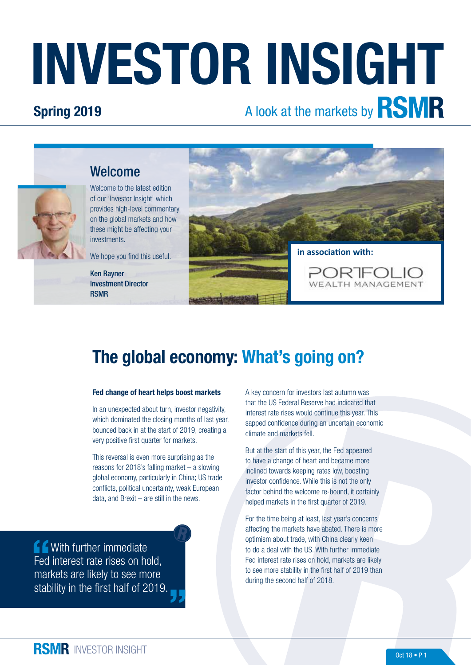# INVESTOR INSIGHT

### Spring 2019

# A look at the markets by **RSMR**



Welcome to the latest edition of our 'Investor Insight' which provides high-level commentary on the global markets and how these might be affecting your investments.

Welcome

We hope you find this useful.

Ken Rayner Investment Director RSMR



## The global economy: What's going on?

#### Fed change of heart helps boost markets

In an unexpected about turn, investor negativity, which dominated the closing months of last year. bounced back in at the start of 2019, creating a very positive first quarter for markets.

This reversal is even more surprising as the reasons for 2018's falling market – a slowing global economy, particularly in China; US trade conflicts, political uncertainty, weak European data, and Brexit – are still in the news.

**COMEN** With further immediate Fed interest rate rises on hold, markets are likely to see more stability in the first half of 2019. A key concern for investors last autumn was that the US Federal Reserve had indicated that interest rate rises would continue this year. This sapped confidence during an uncertain economic climate and markets fell.

But at the start of this year, the Fed appeared to have a change of heart and became more inclined towards keeping rates low, boosting investor confidence. While this is not the only factor behind the welcome re-bound, it certainly helped markets in the first quarter of 2019.

For the time being at least, last year's concerns affecting the markets have abated. There is more optimism about trade, with China clearly keen to do a deal with the US. With further immediate Fed interest rate rises on hold, markets are likely to see more stability in the first half of 2019 than during the second half of 2018.

**RSMR** INVESTOR INSIGHT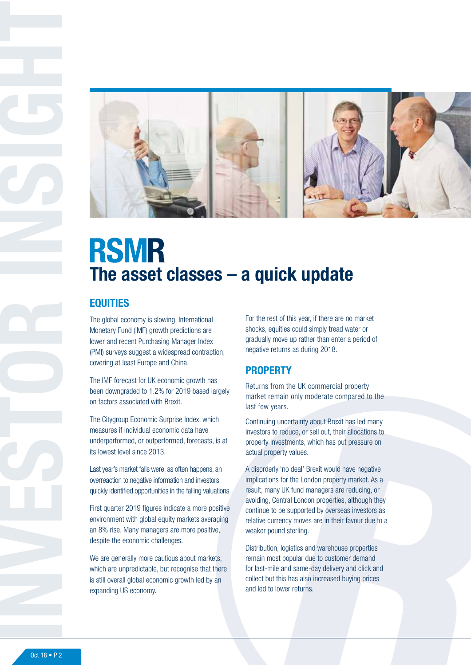

# **RSMR** The asset classes – a quick update

#### **EQUITIES**

The global economy is slowing. International Monetary Fund (IMF) growth predictions are lower and recent Purchasing Manager Index (PMI) surveys suggest a widespread contraction, covering at least Europe and China.

The IMF forecast for UK economic growth has been downgraded to 1.2% for 2019 based largely on factors associated with Brexit.

The Citygroup Economic Surprise Index, which measures if individual economic data have underperformed, or outperformed, forecasts, is at its lowest level since 2013.

Last year's market falls were, as often happens, an overreaction to negative information and investors quickly identified opportunities in the falling valuations.

First quarter 2019 figures indicate a more positive environment with global equity markets averaging an 8% rise. Many managers are more positive, despite the economic challenges.

We are generally more cautious about markets, which are unpredictable, but recognise that there is still overall global economic growth led by an expanding US economy.

For the rest of this year, if there are no market shocks, equities could simply tread water or gradually move up rather than enter a period of negative returns as during 2018.

#### **PROPERTY**

Returns from the UK commercial property market remain only moderate compared to the last few years.

Continuing uncertainty about Brexit has led many investors to reduce, or sell out, their allocations to property investments, which has put pressure on actual property values.

A disorderly 'no deal' Brexit would have negative implications for the London property market. As a result, many UK fund managers are reducing, or avoiding, Central London properties, although they continue to be supported by overseas investors as relative currency moves are in their favour due to a weaker pound sterling.

Distribution, logistics and warehouse properties remain most popular due to customer demand for last-mile and same-day delivery and click and collect but this has also increased buying prices and led to lower returns.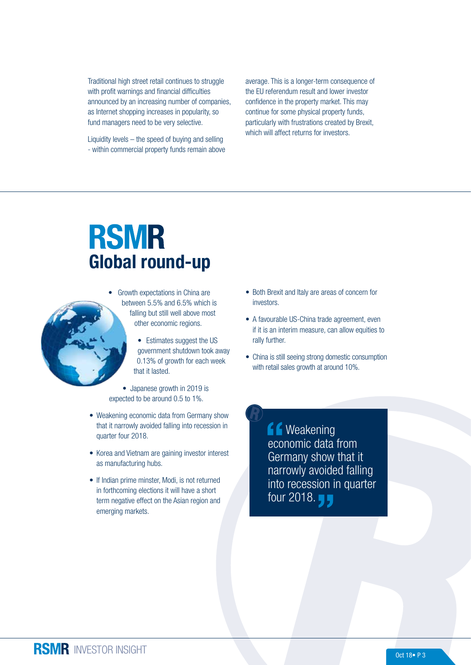Traditional high street retail continues to struggle with profit warnings and financial difficulties announced by an increasing number of companies, as Internet shopping increases in popularity, so fund managers need to be very selective.

Liquidity levels – the speed of buying and selling - within commercial property funds remain above average. This is a longer-term consequence of the EU referendum result and lower investor confidence in the property market. This may continue for some physical property funds, particularly with frustrations created by Brexit, which will affect returns for investors.

# **RSMR** Global round-up



• Estimates suggest the US government shutdown took away 0.13% of growth for each week that it lasted.

• Japanese growth in 2019 is expected to be around 0.5 to 1%.

- Weakening economic data from Germany show that it narrowly avoided falling into recession in quarter four 2018.
- Korea and Vietnam are gaining investor interest as manufacturing hubs.
- If Indian prime minster, Modi, is not returned in forthcoming elections it will have a short term negative effect on the Asian region and emerging markets.
- Both Brexit and Italy are areas of concern for investors.
- A favourable US-China trade agreement, even if it is an interim measure, can allow equities to rally further.
- China is still seeing strong domestic consumption with retail sales growth at around 10%.

**f** Weakening economic data from Germany show that it narrowly avoided falling into recession in quarter four 2018. **J**